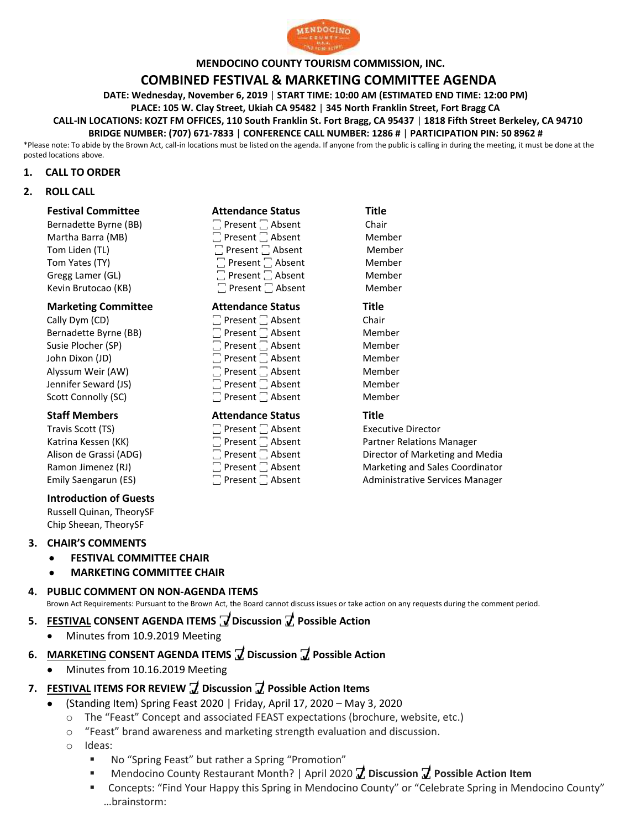

#### **MENDOCINO COUNTY TOURISM COMMISSION, INC.**

## **COMBINED FESTIVAL & MARKETING COMMITTEE AGENDA**

**DATE: Wednesday, November 6, 2019** | **START TIME: 10:00 AM (ESTIMATED END TIME: 12:00 PM)**

**PLACE: 105 W. Clay Street, Ukiah CA 95482** | **345 North Franklin Street, Fort Bragg CA**

**CALL-IN LOCATIONS: KOZT FM OFFICES, 110 South Franklin St. Fort Bragg, CA 95437** | **1818 Fifth Street Berkeley, CA 94710**

**BRIDGE NUMBER: (707) 671-7833** | **CONFERENCE CALL NUMBER: 1286 #** | **PARTICIPATION PIN: 50 8962 #**

\*Please note: To abide by the Brown Act, call-in locations must be listed on the agenda. If anyone from the public is calling in during the meeting, it must be done at the posted locations above.

#### **1. CALL TO ORDER**

#### **2. ROLL CALL**

| <b>Festival Committee</b>  | <b>Attendance Status</b>     | <b>Title</b> |
|----------------------------|------------------------------|--------------|
| Bernadette Byrne (BB)      | $\Box$ Present $\Box$ Absent | Chair        |
| Martha Barra (MB)          | $\Box$ Present $\Box$ Absent | Member       |
| Tom Liden (TL)             | $\Box$ Present $\Box$ Absent | Member       |
| Tom Yates (TY)             | $\Box$ Present $\Box$ Absent | Member       |
| Gregg Lamer (GL)           | $\Box$ Present $\Box$ Absent | Member       |
| Kevin Brutocao (KB)        | $\Box$ Present $\Box$ Absent | Member       |
| <b>Marketing Committee</b> | <b>Attendance Status</b>     | Title        |
| Cally Dym (CD)             | $\Box$ Present $\Box$ Absent | Chair        |
| Bernadette Byrne (BB)      | $\Box$ Present $\Box$ Absent | Member       |
| Susie Plocher (SP)         | $\Box$ Present $\Box$ Absent | Member       |
| John Dixon (JD)            | $\Box$ Present $\Box$ Absent | Member       |
| Alyssum Weir (AW)          | $\Box$ Present $\Box$ Absent | Member       |
| Jennifer Seward (JS)       | $\Box$ Present $\Box$ Absent | Member       |
| Scott Connolly (SC)        | $\Box$ Present $\Box$ Absent | Member       |
| <b>Staff Members</b>       | <b>Attendance Status</b>     | <b>Title</b> |

Travis Scott (TS)  $\Box$  Present  $\Box$  Absent  $\Box$  Absent Executive Director<br>  $\Box$  Present  $\Box$  Absent Partner Relations N Katrina Kessen (KK) Absent Partner Relations Manager<br>Alison de Grassi (ADG) Director of Marketing and l Alison de Grassi (ADG)  $\Box$  Present  $\Box$  Absent Director of Marketing and Media<br>Ramon Jimenez (RJ)  $\Box$  Present  $\Box$  Absent Marketing and Sales Coordinator Ramon Jimenez (RJ) **The State Cooperation** Present  $\Box$  Absent Marketing and Sales Coordinator Emily Saengarun (ES) **The Community Services Manager Community Community Community Services Manager** 

**Introduction of Guests** Russell Quinan, TheorySF Chip Sheean, TheorySF

#### **3. CHAIR'S COMMENTS**

- **FESTIVAL COMMITTEE CHAIR**
- **MARKETING COMMITTEE CHAIR**

## **4. PUBLIC COMMENT ON NON-AGENDA ITEMS** Brown Act Requirements: Pursuant to the Brown Act, the Board cannot discuss issues or take action on any requests during the comment period.

- **5. FESTIVAL CONSENT AGENDA ITEMS ꙱ Discussion ꙱ Possible Action** 
	- Minutes from 10.9.2019 Meeting
- **6. MARKETING CONSENT AGENDA ITEMS ꙱ Discussion ꙱ Possible Action** 
	- Minutes from 10.16.2019 Meeting

### **7. FESTIVAL ITEMS FOR REVIEW ꙱ Discussion ꙱ Possible Action Items**

- (Standing Item) Spring Feast 2020 | Friday, April 17, 2020 May 3, 2020
	- o The "Feast" Concept and associated FEAST expectations (brochure, website, etc.)
	- o "Feast" brand awareness and marketing strength evaluation and discussion.
	- o Ideas:
		- No "Spring Feast" but rather a Spring "Promotion"
		- Mendocino County Restaurant Month? | April 2020 **7** Discussion **7** Possible Action Item
		- Concepts: "Find Your Happy this Spring in Mendocino County" or "Celebrate Spring in Mendocino County" …brainstorm: